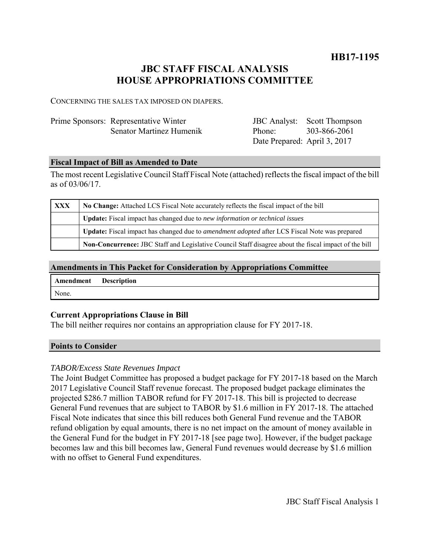**HB17-1195**

# **JBC STAFF FISCAL ANALYSIS HOUSE APPROPRIATIONS COMMITTEE**

CONCERNING THE SALES TAX IMPOSED ON DIAPERS.

| Prime Sponsors: Representative Winter |
|---------------------------------------|
| Senator Martinez Humenik              |

| <b>JBC</b> Analyst:          | <b>Scott Thompson</b> |
|------------------------------|-----------------------|
| Phone:                       | 303-866-2061          |
| Date Prepared: April 3, 2017 |                       |

### **Fiscal Impact of Bill as Amended to Date**

The most recent Legislative Council Staff Fiscal Note (attached) reflects the fiscal impact of the bill as of 03/06/17.

| XXX | No Change: Attached LCS Fiscal Note accurately reflects the fiscal impact of the bill                 |  |
|-----|-------------------------------------------------------------------------------------------------------|--|
|     | <b>Update:</b> Fiscal impact has changed due to new information or technical issues                   |  |
|     | Update: Fiscal impact has changed due to <i>amendment adopted</i> after LCS Fiscal Note was prepared  |  |
|     | Non-Concurrence: JBC Staff and Legislative Council Staff disagree about the fiscal impact of the bill |  |

# **Amendments in This Packet for Consideration by Appropriations Committee**

| <b>Amendment</b> Description |  |
|------------------------------|--|
| None.                        |  |

# **Current Appropriations Clause in Bill**

The bill neither requires nor contains an appropriation clause for FY 2017-18.

#### **Points to Consider**

# *TABOR/Excess State Revenues Impact*

The Joint Budget Committee has proposed a budget package for FY 2017-18 based on the March 2017 Legislative Council Staff revenue forecast. The proposed budget package eliminates the projected \$286.7 million TABOR refund for FY 2017-18. This bill is projected to decrease General Fund revenues that are subject to TABOR by \$1.6 million in FY 2017-18. The attached Fiscal Note indicates that since this bill reduces both General Fund revenue and the TABOR refund obligation by equal amounts, there is no net impact on the amount of money available in the General Fund for the budget in FY 2017-18 [see page two]. However, if the budget package becomes law and this bill becomes law, General Fund revenues would decrease by \$1.6 million with no offset to General Fund expenditures.